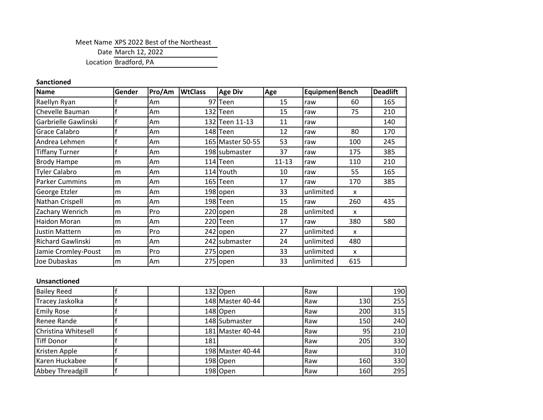Meet Name XPS 2022 Best of the Northeast

Date March 12, 2022

Location Bradford, PA

## **Sanctioned**

| <b>Name</b>              | Gender | Pro/Am | <b>WtClass</b> | <b>Age Div</b>   | Age       | Equipmen Bench |              | <b>Deadlift</b> |
|--------------------------|--------|--------|----------------|------------------|-----------|----------------|--------------|-----------------|
| Raellyn Ryan             |        | Am     |                | 97 Teen          | 15        | raw            | 60           | 165             |
| Chevelle Bauman          |        | Am     |                | 132 Teen         | 15        | raw            | 75           | 210             |
| Garbrielle Gawlinski     |        | Am     |                | 132 Teen 11-13   | 11        | raw            |              | 140             |
| Grace Calabro            |        | Am     |                | 148 Teen         | 12        | raw            | 80           | 170             |
| Andrea Lehmen            |        | Am     |                | 165 Master 50-55 | 53        | raw            | 100          | 245             |
| <b>Tiffany Turner</b>    | £      | Am     |                | 198 submaster    | 37        | raw            | 175          | 385             |
| <b>Brody Hampe</b>       | m      | Am     |                | 114 Teen         | $11 - 13$ | raw            | 110          | 210             |
| <b>Tyler Calabro</b>     | m      | Am     |                | 114 Youth        | 10        | raw            | 55           | 165             |
| <b>Parker Cummins</b>    | m      | Am     |                | 165 Teen         | 17        | raw            | 170          | 385             |
| George Etzler            | m      | Am     |                | 198 open         | 33        | unlimited      | X            |                 |
| Nathan Crispell          | m      | Am     |                | 198 Teen         | 15        | raw            | 260          | 435             |
| Zachary Wenrich          | lm.    | Pro    |                | 220 open         | 28        | unlimited      | X            |                 |
| Haidon Moran             | m      | Am     |                | 220Teen          | 17        | raw            | 380          | 580             |
| <b>Justin Mattern</b>    | m      | Pro    |                | 242 open         | 27        | unlimited      | $\mathsf{x}$ |                 |
| <b>Richard Gawlinski</b> | m      | Am     |                | 242 Submaster    | 24        | unlimited      | 480          |                 |
| Jamie Cromley-Poust      | lm     | Pro    |                | 275 open         | 33        | unlimited      | X            |                 |
| Joe Dubaskas             | m      | Am     |                | 275 open         | 33        | unlimited      | 615          |                 |

## **Unsanctioned**

| <b>Bailey Reed</b>  |     | 132 Open         | Raw |     | <b>190</b> |
|---------------------|-----|------------------|-----|-----|------------|
| Tracey Jaskolka     |     | 148 Master 40-44 | Raw | 130 | 255        |
| <b>Emily Rose</b>   |     | 148 Open         | Raw | 200 | 315        |
| Renee Rande         |     | 148 Submaster    | Raw | 150 | 240        |
| Christina Whitesell |     | 181 Master 40-44 | Raw | 95  | 210        |
| <b>Tiff Donor</b>   | 181 |                  | Raw | 205 | 330        |
| Kristen Apple       |     | 198 Master 40-44 | Raw |     | 310        |
| Karen Huckabee      |     | 198 Open         | Raw | 160 | 330        |
| Abbey Threadgill    |     | 198 Open         | Raw | 160 | 295        |